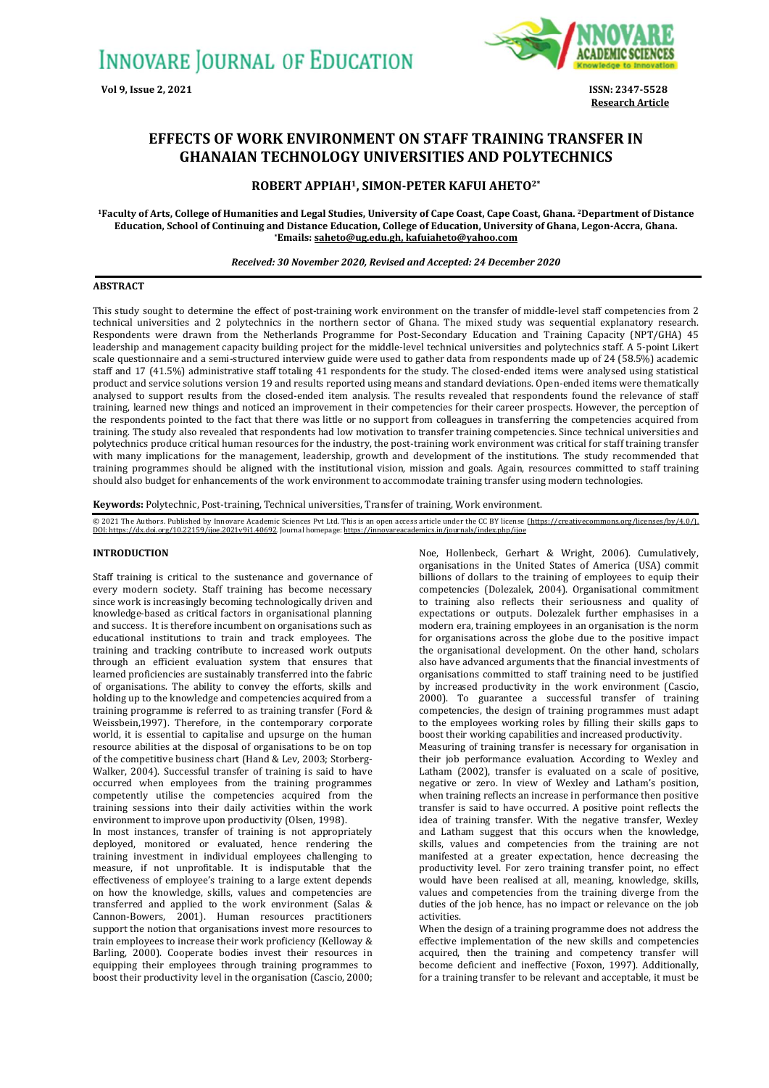

**Research Article**

# **EFFECTS OF WORK ENVIRONMENT ON STAFF TRAINING TRANSFER IN GHANAIAN TECHNOLOGY UNIVERSITIES AND POLYTECHNICS**

# **ROBERT APPIAH1, SIMON-PETER KAFUI AHETO2\***

**<sup>1</sup>Faculty of Arts, College of Humanities and Legal Studies, University of Cape Coast, Cape Coast, Ghana. 2Department of Distance Education, School of Continuing and Distance Education, College of Education, University of Ghana, Legon-Accra, Ghana. \*Emails[: saheto@ug.edu.gh,](mailto:saheto@ug.edu.gh) [kafuiaheto@yahoo.com](mailto:kafuiaheto@yahoo.com)**

## *Received: 30 November 2020, Revised and Accepted: 24 December 2020*

#### **ABSTRACT**

This study sought to determine the effect of post-training work environment on the transfer of middle-level staff competencies from 2 technical universities and 2 polytechnics in the northern sector of Ghana. The mixed study was sequential explanatory research. Respondents were drawn from the Netherlands Programme for Post-Secondary Education and Training Capacity (NPT/GHA) 45 leadership and management capacity building project for the middle-level technical universities and polytechnics staff. A 5-point Likert scale questionnaire and a semi-structured interview guide were used to gather data from respondents made up of 24 (58.5%) academic staff and 17 (41.5%) administrative staff totaling 41 respondents for the study. The closed-ended items were analysed using statistical product and service solutions version 19 and results reported using means and standard deviations. Open-ended items were thematically analysed to support results from the closed-ended item analysis. The results revealed that respondents found the relevance of staff training, learned new things and noticed an improvement in their competencies for their career prospects. However, the perception of the respondents pointed to the fact that there was little or no support from colleagues in transferring the competencies acquired from training. The study also revealed that respondents had low motivation to transfer training competencies. Since technical universities and polytechnics produce critical human resources for the industry, the post-training work environment was critical for staff training transfer with many implications for the management, leadership, growth and development of the institutions. The study recommended that training programmes should be aligned with the institutional vision, mission and goals. Again, resources committed to staff training should also budget for enhancements of the work environment to accommodate training transfer using modern technologies.

**Keywords:** Polytechnic, Post-training, Technical universities, Transfer of training, Work environment.

© 2021 The Authors. Published by Innovare Academic Sciences Pvt Ltd. This is an open access article under the CC BY license <u>[\(https://creativecommons.org/licenses/by/4.0/\)](https://creativecommons.org/licenses/by/4.0/).</u><br><u>DOI: https://dx.doi.org/10.22159/ijoe.2021v9i1.</u>

#### **INTRODUCTION**

Staff training is critical to the sustenance and governance of every modern society. Staff training has become necessary since work is increasingly becoming technologically driven and knowledge-based as critical factors in organisational planning and success. It is therefore incumbent on organisations such as educational institutions to train and track employees. The training and tracking contribute to increased work outputs through an efficient evaluation system that ensures that learned proficiencies are sustainably transferred into the fabric of organisations. The ability to convey the efforts, skills and holding up to the knowledge and competencies acquired from a training programme is referred to as training transfer (Ford & Weissbein,1997). Therefore, in the contemporary corporate world, it is essential to capitalise and upsurge on the human resource abilities at the disposal of organisations to be on top of the competitive business chart (Hand & Lev, 2003; Storberg-Walker, 2004). Successful transfer of training is said to have occurred when employees from the training programmes competently utilise the competencies acquired from the training sessions into their daily activities within the work environment to improve upon productivity (Olsen, 1998).

In most instances, transfer of training is not appropriately deployed, monitored or evaluated, hence rendering the training investment in individual employees challenging to measure, if not unprofitable. It is indisputable that the effectiveness of employee's training to a large extent depends on how the knowledge, skills, values and competencies are transferred and applied to the work environment (Salas & Cannon-Bowers, 2001). Human resources practitioners support the notion that organisations invest more resources to train employees to increase their work proficiency (Kelloway & Barling, 2000). Cooperate bodies invest their resources in equipping their employees through training programmes to boost their productivity level in the organisation (Cascio, 2000;

Noe, Hollenbeck, Gerhart & Wright, 2006). Cumulatively, organisations in the United States of America (USA) commit billions of dollars to the training of employees to equip their competencies (Dolezalek, 2004). Organisational commitment to training also reflects their seriousness and quality of expectations or outputs. Dolezalek further emphasises in a modern era, training employees in an organisation is the norm for organisations across the globe due to the positive impact the organisational development. On the other hand, scholars also have advanced arguments that the financial investments of organisations committed to staff training need to be justified by increased productivity in the work environment (Cascio, 2000). To guarantee a successful transfer of training competencies, the design of training programmes must adapt to the employees working roles by filling their skills gaps to boost their working capabilities and increased productivity.

Measuring of training transfer is necessary for organisation in their job performance evaluation. According to Wexley and Latham (2002), transfer is evaluated on a scale of positive, negative or zero. In view of Wexley and Latham's position, when training reflects an increase in performance then positive transfer is said to have occurred. A positive point reflects the idea of training transfer. With the negative transfer, Wexley and Latham suggest that this occurs when the knowledge, skills, values and competencies from the training are not manifested at a greater expectation, hence decreasing the productivity level. For zero training transfer point, no effect would have been realised at all, meaning, knowledge, skills, values and competencies from the training diverge from the duties of the job hence, has no impact or relevance on the job activities.

When the design of a training programme does not address the effective implementation of the new skills and competencies acquired, then the training and competency transfer will become deficient and ineffective (Foxon, 1997). Additionally, for a training transfer to be relevant and acceptable, it must be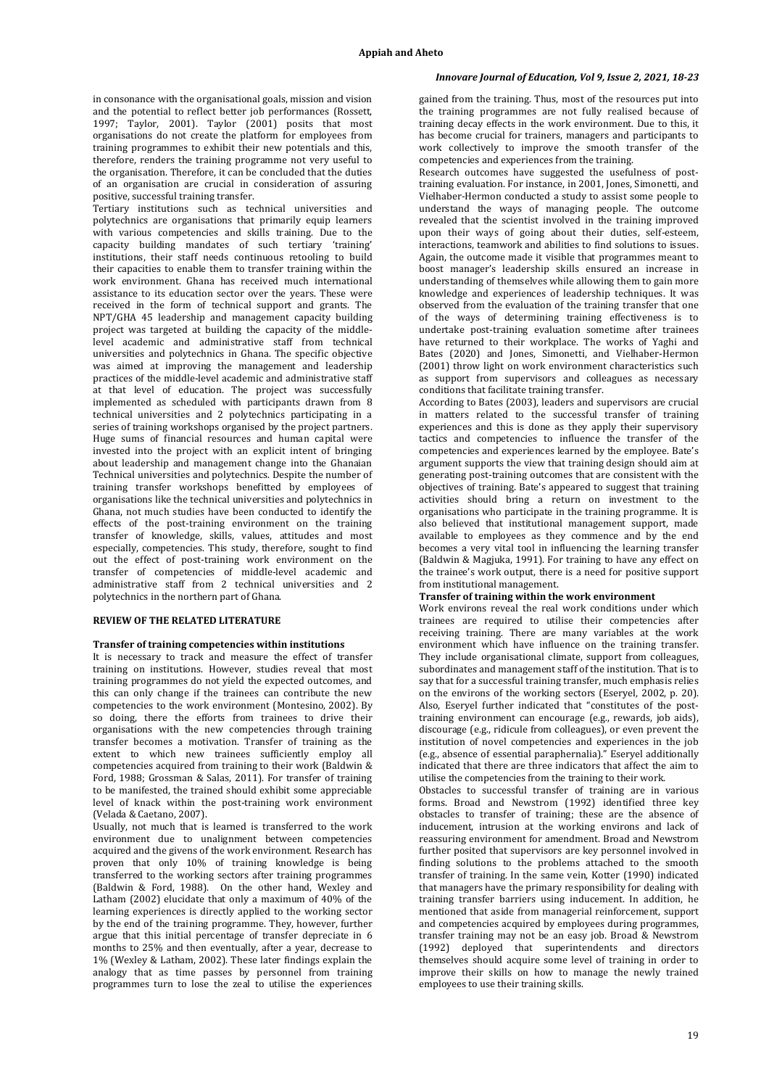in consonance with the organisational goals, mission and vision and the potential to reflect better job performances (Rossett, 1997; Taylor, 2001). Taylor (2001) posits that most organisations do not create the platform for employees from training programmes to exhibit their new potentials and this, therefore, renders the training programme not very useful to the organisation. Therefore, it can be concluded that the duties of an organisation are crucial in consideration of assuring positive, successful training transfer.

Tertiary institutions such as technical universities and polytechnics are organisations that primarily equip learners with various competencies and skills training. Due to the capacity building mandates of such tertiary 'training' institutions, their staff needs continuous retooling to build their capacities to enable them to transfer training within the work environment. Ghana has received much international assistance to its education sector over the years. These were received in the form of technical support and grants. The NPT/GHA 45 leadership and management capacity building project was targeted at building the capacity of the middlelevel academic and administrative staff from technical universities and polytechnics in Ghana. The specific objective was aimed at improving the management and leadership practices of the middle-level academic and administrative staff at that level of education. The project was successfully implemented as scheduled with participants drawn from 8 technical universities and 2 polytechnics participating in a series of training workshops organised by the project partners. Huge sums of financial resources and human capital were invested into the project with an explicit intent of bringing about leadership and management change into the Ghanaian Technical universities and polytechnics. Despite the number of training transfer workshops benefitted by employees of organisations like the technical universities and polytechnics in Ghana, not much studies have been conducted to identify the effects of the post-training environment on the training transfer of knowledge, skills, values, attitudes and most especially, competencies. This study, therefore, sought to find out the effect of post-training work environment on the transfer of competencies of middle-level academic and administrative staff from 2 technical universities and 2 polytechnics in the northern part of Ghana.

## **REVIEW OF THE RELATED LITERATURE**

#### **Transfer of training competencies within institutions**

It is necessary to track and measure the effect of transfer training on institutions. However, studies reveal that most training programmes do not yield the expected outcomes, and this can only change if the trainees can contribute the new competencies to the work environment (Montesino, 2002). By so doing, there the efforts from trainees to drive their organisations with the new competencies through training transfer becomes a motivation. Transfer of training as the extent to which new trainees sufficiently employ all competencies acquired from training to their work (Baldwin & Ford, 1988; Grossman & Salas, 2011). For transfer of training to be manifested, the trained should exhibit some appreciable level of knack within the post-training work environment (Velada & Caetano, 2007).

Usually, not much that is learned is transferred to the work environment due to unalignment between competencies acquired and the givens of the work environment. Research has proven that only 10% of training knowledge is being transferred to the working sectors after training programmes (Baldwin & Ford, 1988). On the other hand, Wexley and Latham (2002) elucidate that only a maximum of 40% of the learning experiences is directly applied to the working sector by the end of the training programme. They, however, further argue that this initial percentage of transfer depreciate in 6 months to 25% and then eventually, after a year, decrease to 1% (Wexley & Latham, 2002). These later findings explain the analogy that as time passes by personnel from training programmes turn to lose the zeal to utilise the experiences

# *Innovare Journal of Education, Vol 9, Issue 2, 2021, 18-23*

gained from the training. Thus, most of the resources put into the training programmes are not fully realised because of training decay effects in the work environment. Due to this, it has become crucial for trainers, managers and participants to work collectively to improve the smooth transfer of the competencies and experiences from the training.

Research outcomes have suggested the usefulness of posttraining evaluation. For instance, in 2001, Jones, Simonetti, and Vielhaber-Hermon conducted a study to assist some people to understand the ways of managing people. The outcome revealed that the scientist involved in the training improved upon their ways of going about their duties, self-esteem, interactions, teamwork and abilities to find solutions to issues. Again, the outcome made it visible that programmes meant to boost manager's leadership skills ensured an increase in understanding of themselves while allowing them to gain more knowledge and experiences of leadership techniques. It was observed from the evaluation of the training transfer that one of the ways of determining training effectiveness is to undertake post-training evaluation sometime after trainees have returned to their workplace. The works of Yaghi and Bates (2020) and Jones, Simonetti, and Vielhaber-Hermon (2001) throw light on work environment characteristics such as support from supervisors and colleagues as necessary conditions that facilitate training transfer.

According to Bates (2003), leaders and supervisors are crucial in matters related to the successful transfer of training experiences and this is done as they apply their supervisory tactics and competencies to influence the transfer of the competencies and experiences learned by the employee. Bate's argument supports the view that training design should aim at generating post-training outcomes that are consistent with the objectives of training. Bate's appeared to suggest that training activities should bring a return on investment to the organisations who participate in the training programme. It is also believed that institutional management support, made available to employees as they commence and by the end becomes a very vital tool in influencing the learning transfer (Baldwin & Magjuka, 1991). For training to have any effect on the trainee's work output, there is a need for positive support from institutional management.

#### **Transfer of training within the work environment**

Work environs reveal the real work conditions under which trainees are required to utilise their competencies after receiving training. There are many variables at the work environment which have influence on the training transfer. They include organisational climate, support from colleagues, subordinates and management staff of the institution. That is to say that for a successful training transfer, much emphasis relies on the environs of the working sectors (Eseryel, 2002, p. 20). Also, Eseryel further indicated that "constitutes of the posttraining environment can encourage (e.g., rewards, job aids), discourage (e.g., ridicule from colleagues), or even prevent the institution of novel competencies and experiences in the job (e.g., absence of essential paraphernalia)." Eseryel additionally indicated that there are three indicators that affect the aim to utilise the competencies from the training to their work.

Obstacles to successful transfer of training are in various forms. Broad and Newstrom (1992) identified three key obstacles to transfer of training; these are the absence of inducement, intrusion at the working environs and lack of reassuring environment for amendment. Broad and Newstrom further posited that supervisors are key personnel involved in finding solutions to the problems attached to the smooth transfer of training. In the same vein, Kotter (1990) indicated that managers have the primary responsibility for dealing with training transfer barriers using inducement. In addition, he mentioned that aside from managerial reinforcement, support and competencies acquired by employees during programmes, transfer training may not be an easy job. Broad & Newstrom (1992) deployed that superintendents and directors themselves should acquire some level of training in order to improve their skills on how to manage the newly trained employees to use their training skills.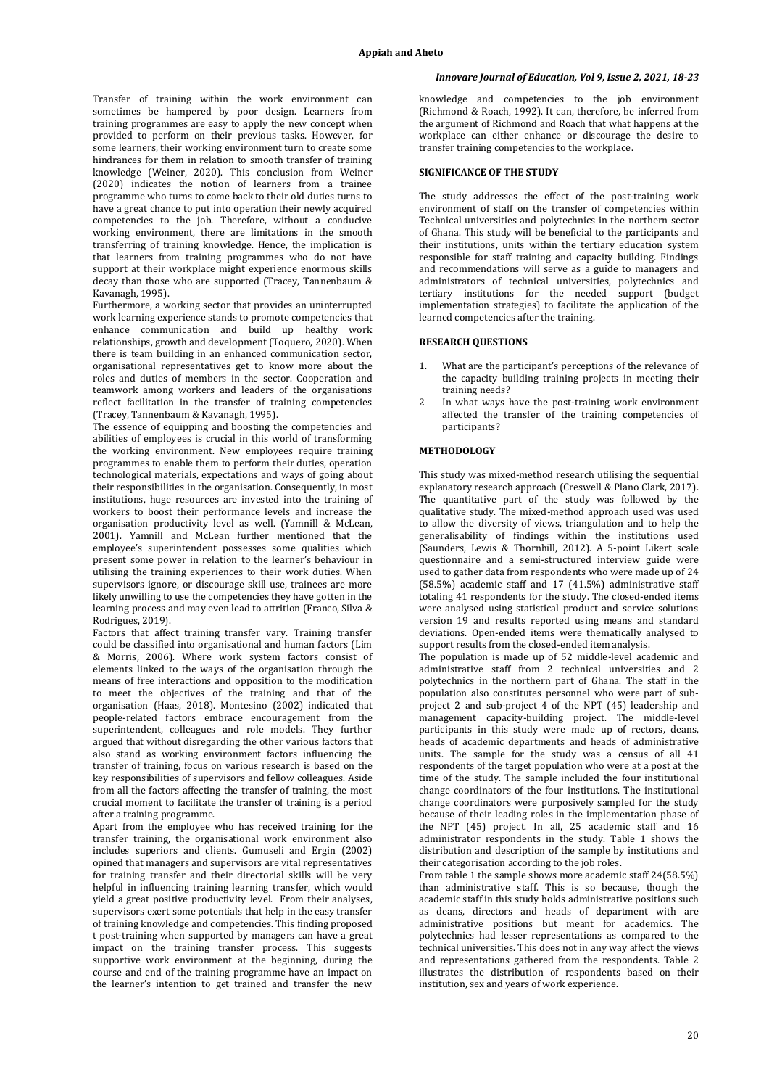Transfer of training within the work environment can sometimes be hampered by poor design. Learners from training programmes are easy to apply the new concept when provided to perform on their previous tasks. However, for some learners, their working environment turn to create some hindrances for them in relation to smooth transfer of training knowledge (Weiner, 2020). This conclusion from Weiner (2020) indicates the notion of learners from a trainee programme who turns to come back to their old duties turns to have a great chance to put into operation their newly acquired competencies to the job. Therefore, without a conducive working environment, there are limitations in the smooth transferring of training knowledge. Hence, the implication is that learners from training programmes who do not have support at their workplace might experience enormous skills decay than those who are supported (Tracey, Tannenbaum & Kavanagh, 1995).

Furthermore, a working sector that provides an uninterrupted work learning experience stands to promote competencies that enhance communication and build up healthy work relationships, growth and development (Toquero, 2020). When there is team building in an enhanced communication sector, organisational representatives get to know more about the roles and duties of members in the sector. Cooperation and teamwork among workers and leaders of the organisations reflect facilitation in the transfer of training competencies (Tracey, Tannenbaum & Kavanagh, 1995).

The essence of equipping and boosting the competencies and abilities of employees is crucial in this world of transforming the working environment. New employees require training programmes to enable them to perform their duties, operation technological materials, expectations and ways of going about their responsibilities in the organisation. Consequently, in most institutions, huge resources are invested into the training of workers to boost their performance levels and increase the organisation productivity level as well. (Yamnill & McLean, 2001). Yamnill and McLean further mentioned that the employee's superintendent possesses some qualities which present some power in relation to the learner's behaviour in utilising the training experiences to their work duties. When supervisors ignore, or discourage skill use, trainees are more likely unwilling to use the competencies they have gotten in the learning process and may even lead to attrition (Franco, Silva & Rodrigues, 2019).

Factors that affect training transfer vary. Training transfer could be classified into organisational and human factors (Lim & Morris, 2006). Where work system factors consist of elements linked to the ways of the organisation through the means of free interactions and opposition to the modification to meet the objectives of the training and that of the organisation (Haas, 2018). Montesino (2002) indicated that people-related factors embrace encouragement from the superintendent, colleagues and role models. They further argued that without disregarding the other various factors that also stand as working environment factors influencing the transfer of training, focus on various research is based on the key responsibilities of supervisors and fellow colleagues. Aside from all the factors affecting the transfer of training, the most crucial moment to facilitate the transfer of training is a period after a training programme.

Apart from the employee who has received training for the transfer training, the organisational work environment also includes superiors and clients. Gumuseli and Ergin (2002) opined that managers and supervisors are vital representatives for training transfer and their directorial skills will be very helpful in influencing training learning transfer, which would yield a great positive productivity level. From their analyses, supervisors exert some potentials that help in the easy transfer of training knowledge and competencies. This finding proposed t post-training when supported by managers can have a great impact on the training transfer process. This suggests supportive work environment at the beginning, during the course and end of the training programme have an impact on the learner's intention to get trained and transfer the new

## *Innovare Journal of Education, Vol 9, Issue 2, 2021, 18-23*

knowledge and competencies to the job environment (Richmond & Roach, 1992). It can, therefore, be inferred from the argument of Richmond and Roach that what happens at the workplace can either enhance or discourage the desire to transfer training competencies to the workplace.

# **SIGNIFICANCE OF THE STUDY**

The study addresses the effect of the post-training work environment of staff on the transfer of competencies within Technical universities and polytechnics in the northern sector of Ghana. This study will be beneficial to the participants and their institutions, units within the tertiary education system responsible for staff training and capacity building. Findings and recommendations will serve as a guide to managers and administrators of technical universities, polytechnics and tertiary institutions for the needed support (budget implementation strategies) to facilitate the application of the learned competencies after the training.

# **RESEARCH QUESTIONS**

- 1. What are the participant's perceptions of the relevance of the capacity building training projects in meeting their training needs?
- In what ways have the post-training work environment affected the transfer of the training competencies of participants?

## **METHODOLOGY**

This study was mixed-method research utilising the sequential explanatory research approach (Creswell & Plano Clark, 2017). The quantitative part of the study was followed by the qualitative study. The mixed-method approach used was used to allow the diversity of views, triangulation and to help the generalisability of findings within the institutions used (Saunders, Lewis & Thornhill, 2012). A 5-point Likert scale questionnaire and a semi-structured interview guide were used to gather data from respondents who were made up of 24 (58.5%) academic staff and 17 (41.5%) administrative staff totaling 41 respondents for the study. The closed-ended items were analysed using statistical product and service solutions version 19 and results reported using means and standard deviations. Open-ended items were thematically analysed to support results from the closed-ended item analysis.

The population is made up of 52 middle-level academic and administrative staff from 2 technical universities and 2 polytechnics in the northern part of Ghana. The staff in the population also constitutes personnel who were part of subproject 2 and sub-project 4 of the NPT (45) leadership and management capacity-building project. The middle-level participants in this study were made up of rectors, deans, heads of academic departments and heads of administrative units. The sample for the study was a census of all 41 respondents of the target population who were at a post at the time of the study. The sample included the four institutional change coordinators of the four institutions. The institutional change coordinators were purposively sampled for the study because of their leading roles in the implementation phase of the NPT (45) project. In all, 25 academic staff and 16 administrator respondents in the study. Table 1 shows the distribution and description of the sample by institutions and their categorisation according to the job roles.

From table 1 the sample shows more academic staff 24(58.5%) than administrative staff. This is so because, though the academic staff in this study holds administrative positions such as deans, directors and heads of department with are administrative positions but meant for academics. The polytechnics had lesser representations as compared to the technical universities. This does not in any way affect the views and representations gathered from the respondents. Table 2 illustrates the distribution of respondents based on their institution, sex and years of work experience.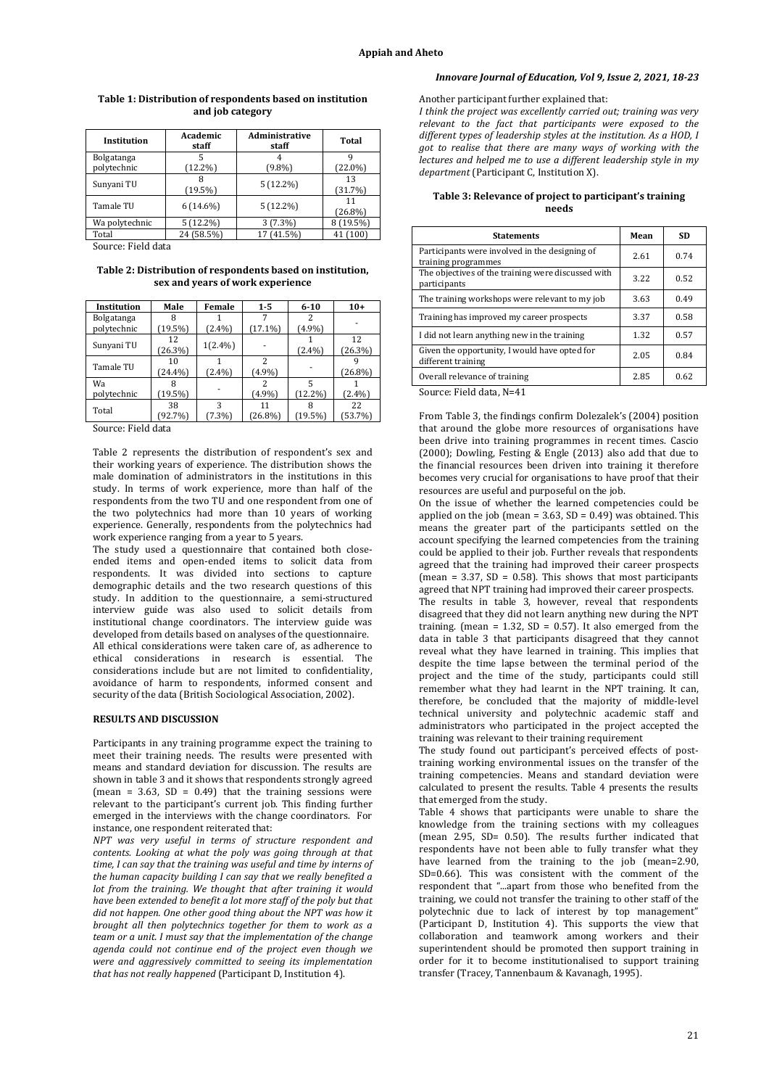## *Innovare Journal of Education, Vol 9, Issue 2, 2021, 18-23*

| Institution               | Academic<br>staff | Administrative<br>staff | <b>Total</b>     |
|---------------------------|-------------------|-------------------------|------------------|
| Bolgatanga<br>polytechnic | $(12.2\%)$        | $(9.8\%)$               | $(22.0\%)$       |
|                           |                   |                         |                  |
| Sunyani TU                | (19.5%)           | $5(12.2\%)$             | 13<br>(31.7%)    |
| Tamale TU                 | $6(14.6\%)$       | $5(12.2\%)$             | 11<br>$(26.8\%)$ |
| Wa polytechnic            | 5(12.2%)          | $3(7.3\%)$              | 8 (19.5%)        |
| Total                     | 24 (58.5%)        | (41.5%)                 | (100)            |

# **Table 1: Distribution of respondents based on institution and job category**

Source: Field data

**Table 2: Distribution of respondents based on institution, sex and years of work experience**

| Institution | Male     | Female     | $1 - 5$                  | $6 - 10$   | $10+$   |
|-------------|----------|------------|--------------------------|------------|---------|
| Bolgatanga  | 8        |            |                          |            |         |
| polytechnic | $19.5\%$ | $2.4\%$    | $(17.1\%)$               | (4.9%)     |         |
|             | 12       |            |                          |            | 12      |
| Sunyani TU  | (26.3%)  | $1(2.4\%)$ |                          | (2.4%)     | (26.3%) |
| Tamale TU   | 10       |            | $\overline{\mathcal{L}}$ |            |         |
|             | (24.4%)  | 2.4%       | $(4.9\%)$                |            | (26.8%) |
| Wa          |          |            | 2                        |            |         |
| polytechnic | (19.5%)  |            | (4.9%)                   | $(12.2\%)$ | 2.4%    |
| Total       | 38       | 3          | 11                       |            | 22      |
|             | $92.7\%$ | 7.3%       | $26.8\%$                 | (19.5%)    | 53.7%)  |

Source: Field data

Table 2 represents the distribution of respondent's sex and their working years of experience. The distribution shows the male domination of administrators in the institutions in this study. In terms of work experience, more than half of the respondents from the two TU and one respondent from one of the two polytechnics had more than 10 years of working experience. Generally, respondents from the polytechnics had work experience ranging from a year to 5 years.

The study used a questionnaire that contained both closeended items and open-ended items to solicit data from respondents. It was divided into sections to capture demographic details and the two research questions of this study. In addition to the questionnaire, a semi-structured interview guide was also used to solicit details from institutional change coordinators. The interview guide was developed from details based on analyses of the questionnaire. All ethical considerations were taken care of, as adherence to ethical considerations in research is essential. The considerations include but are not limited to confidentiality, avoidance of harm to respondents, informed consent and security of the data (British Sociological Association, 2002).

## **RESULTS AND DISCUSSION**

Participants in any training programme expect the training to meet their training needs. The results were presented with means and standard deviation for discussion. The results are shown in table 3 and it shows that respondents strongly agreed (mean = 3.63,  $SD = 0.49$ ) that the training sessions were relevant to the participant's current job. This finding further emerged in the interviews with the change coordinators. For instance, one respondent reiterated that:

*NPT was very useful in terms of structure respondent and contents. Looking at what the poly was going through at that time, I can say that the training was useful and time by interns of the human capacity building I can say that we really benefited a lot from the training. We thought that after training it would have been extended to benefit a lot more staff of the poly but that did not happen. One other good thing about the NPT was how it brought all then polytechnics together for them to work as a team or a unit. I must say that the implementation of the change agenda could not continue end of the project even though we were and aggressively committed to seeing its implementation that has not really happened* (Participant D, Institution 4).

#### Another participant further explained that:

*I think the project was excellently carried out; training was very relevant to the fact that participants were exposed to the different types of leadership styles at the institution. As a HOD, I got to realise that there are many ways of working with the lectures and helped me to use a different leadership style in my department* (Participant C, Institution X).

## **Table 3: Relevance of project to participant's training needs**

| <b>Statements</b>                                                     | Mean | SD   |
|-----------------------------------------------------------------------|------|------|
| Participants were involved in the designing of<br>training programmes | 2.61 | 0.74 |
| The objectives of the training were discussed with<br>participants    | 3.22 | 0.52 |
| The training workshops were relevant to my job                        | 3.63 | 0.49 |
| Training has improved my career prospects                             | 3.37 | 0.58 |
| I did not learn anything new in the training                          | 1.32 | 0.57 |
| Given the opportunity, I would have opted for<br>different training   | 2.05 | 0.84 |
| Overall relevance of training                                         | 2.85 | 0.62 |

Source: Field data, N=41

From Table 3, the findings confirm Dolezalek's (2004) position that around the globe more resources of organisations have been drive into training programmes in recent times. Cascio (2000); Dowling, Festing & Engle (2013) also add that due to the financial resources been driven into training it therefore becomes very crucial for organisations to have proof that their resources are useful and purposeful on the job.

On the issue of whether the learned competencies could be applied on the job (mean =  $3.63$ , SD =  $0.49$ ) was obtained. This means the greater part of the participants settled on the account specifying the learned competencies from the training could be applied to their job. Further reveals that respondents agreed that the training had improved their career prospects (mean =  $3.37$ , SD =  $0.58$ ). This shows that most participants agreed that NPT training had improved their career prospects. The results in table 3, however, reveal that respondents disagreed that they did not learn anything new during the NPT training. (mean =  $1.32$ , SD = 0.57). It also emerged from the data in table 3 that participants disagreed that they cannot reveal what they have learned in training. This implies that despite the time lapse between the terminal period of the project and the time of the study, participants could still remember what they had learnt in the NPT training. It can, therefore, be concluded that the majority of middle-level technical university and polytechnic academic staff and administrators who participated in the project accepted the

training was relevant to their training requirement The study found out participant's perceived effects of posttraining working environmental issues on the transfer of the training competencies. Means and standard deviation were calculated to present the results. Table 4 presents the results that emerged from the study.

Table 4 shows that participants were unable to share the knowledge from the training sections with my colleagues (mean 2.95, SD= 0.50). The results further indicated that respondents have not been able to fully transfer what they have learned from the training to the job (mean=2.90, SD=0.66). This was consistent with the comment of the respondent that "...apart from those who benefited from the training, we could not transfer the training to other staff of the polytechnic due to lack of interest by top management" (Participant D, Institution 4). This supports the view that collaboration and teamwork among workers and their superintendent should be promoted then support training in order for it to become institutionalised to support training transfer (Tracey, Tannenbaum & Kavanagh, 1995).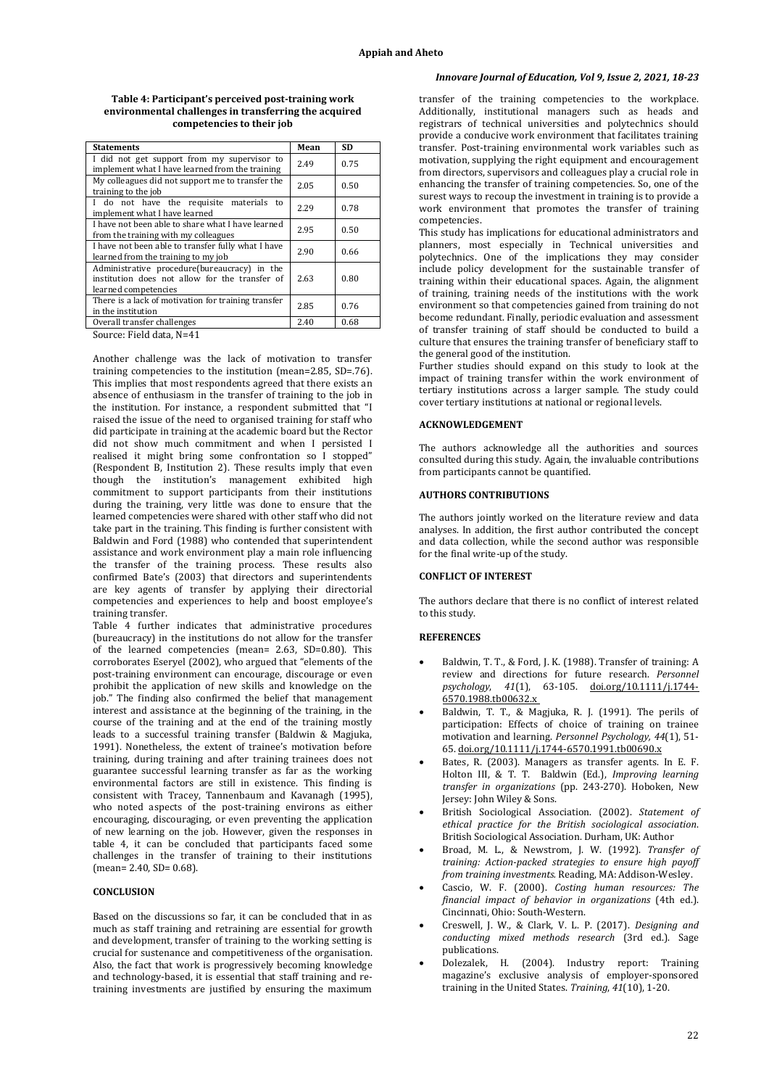#### **Table 4: Participant's perceived post-training work environmental challenges in transferring the acquired competencies to their job**

| <b>Statements</b>                                                                                                      | Mean | SD   |
|------------------------------------------------------------------------------------------------------------------------|------|------|
| I did not get support from my supervisor to<br>implement what I have learned from the training                         | 2.49 | 0.75 |
| My colleagues did not support me to transfer the<br>training to the job                                                | 2.05 | 0.50 |
| do not have the requisite materials<br>L<br>to<br>implement what I have learned                                        | 2.29 | 0.78 |
| I have not been able to share what I have learned<br>from the training with my colleagues                              | 2.95 | 0.50 |
| I have not been able to transfer fully what I have<br>learned from the training to my job                              | 2.90 | 0.66 |
| Administrative procedure(bureaucracy) in the<br>institution does not allow for the transfer of<br>learned competencies | 2.63 | 0.80 |
| There is a lack of motivation for training transfer<br>in the institution                                              | 2.85 | 0.76 |
| Overall transfer challenges                                                                                            | 2.40 | 0.68 |

Source: Field data, N=41

Another challenge was the lack of motivation to transfer training competencies to the institution (mean=2.85, SD=.76). This implies that most respondents agreed that there exists an absence of enthusiasm in the transfer of training to the job in the institution. For instance, a respondent submitted that "I raised the issue of the need to organised training for staff who did participate in training at the academic board but the Rector did not show much commitment and when I persisted I realised it might bring some confrontation so I stopped" (Respondent B, Institution 2). These results imply that even though the institution's management exhibited high commitment to support participants from their institutions during the training, very little was done to ensure that the learned competencies were shared with other staff who did not take part in the training. This finding is further consistent with Baldwin and Ford (1988) who contended that superintendent assistance and work environment play a main role influencing the transfer of the training process. These results also confirmed Bate's (2003) that directors and superintendents are key agents of transfer by applying their directorial competencies and experiences to help and boost employee's training transfer.

Table 4 further indicates that administrative procedures (bureaucracy) in the institutions do not allow for the transfer of the learned competencies (mean= 2.63, SD=0.80). This corroborates Eseryel (2002), who argued that "elements of the post-training environment can encourage, discourage or even prohibit the application of new skills and knowledge on the job." The finding also confirmed the belief that management interest and assistance at the beginning of the training, in the course of the training and at the end of the training mostly leads to a successful training transfer (Baldwin & Magjuka, 1991). Nonetheless, the extent of trainee's motivation before training, during training and after training trainees does not guarantee successful learning transfer as far as the working environmental factors are still in existence. This finding is consistent with Tracey, Tannenbaum and Kavanagh (1995), who noted aspects of the post-training environs as either encouraging, discouraging, or even preventing the application of new learning on the job. However, given the responses in table 4, it can be concluded that participants faced some challenges in the transfer of training to their institutions (mean= 2.40, SD= 0.68).

#### **CONCLUSION**

Based on the discussions so far, it can be concluded that in as much as staff training and retraining are essential for growth and development, transfer of training to the working setting is crucial for sustenance and competitiveness of the organisation. Also, the fact that work is progressively becoming knowledge and technology-based, it is essential that staff training and retraining investments are justified by ensuring the maximum

# *Innovare Journal of Education, Vol 9, Issue 2, 2021, 18-23*

transfer of the training competencies to the workplace. Additionally, institutional managers such as heads and registrars of technical universities and polytechnics should provide a conducive work environment that facilitates training transfer. Post-training environmental work variables such as motivation, supplying the right equipment and encouragement from directors, supervisors and colleagues play a crucial role in enhancing the transfer of training competencies. So, one of the surest ways to recoup the investment in training is to provide a work environment that promotes the transfer of training competencies.

This study has implications for educational administrators and planners, most especially in Technical universities and polytechnics. One of the implications they may consider include policy development for the sustainable transfer of training within their educational spaces. Again, the alignment of training, training needs of the institutions with the work environment so that competencies gained from training do not become redundant. Finally, periodic evaluation and assessment of transfer training of staff should be conducted to build a culture that ensures the training transfer of beneficiary staff to the general good of the institution.

Further studies should expand on this study to look at the impact of training transfer within the work environment of tertiary institutions across a larger sample. The study could cover tertiary institutions at national or regional levels.

#### **ACKNOWLEDGEMENT**

The authors acknowledge all the authorities and sources consulted during this study. Again, the invaluable contributions from participants cannot be quantified.

#### **AUTHORS CONTRIBUTIONS**

The authors jointly worked on the literature review and data analyses. In addition, the first author contributed the concept and data collection, while the second author was responsible for the final write-up of the study.

## **CONFLICT OF INTEREST**

The authors declare that there is no conflict of interest related to this study.

#### **REFERENCES**

- Baldwin, T. T., & Ford, J. K. (1988). Transfer of training: A review and directions for future research. *Personnel psychology*, *41*(1), 63-105. [doi.org/10.1111/j.1744-](https://doi.org/10.1111/j.1744-6570.1988.tb00632.x) [6570.1988.tb00632.x](https://doi.org/10.1111/j.1744-6570.1988.tb00632.x)
- Baldwin, T. T., & Magjuka, R. J. (1991). The perils of participation: Effects of choice of training on trainee motivation and learning. *Personnel Psychology, 44*(1), 51- 65[. doi.org/10.1111/j.1744-6570.1991.tb00690.x](https://doi.org/10.1111/j.1744-6570.1991.tb00690.x)
- Bates, R. (2003). Managers as transfer agents. In E. F. Holton III, & T. T. Baldwin (Ed.), *Improving learning transfer in organizations* (pp. 243-270). Hoboken, New Jersey: John Wiley & Sons.
- British Sociological Association. (2002). *Statement of ethical practice for the British sociological association*. British Sociological Association. Durham, UK: Author
- Broad, M. L., & Newstrom, J. W. (1992). *Transfer of training: Action-packed strategies to ensure high payoff from training investments.* Reading, MA: Addison-Wesley.
- Cascio, W. F. (2000). *Costing human resources: The financial impact of behavior in organizations* (4th ed.). Cincinnati, Ohio: South-Western.
- Creswell, J. W., & Clark, V. L. P. (2017). *Designing and conducting mixed methods research* (3rd ed.). Sage publications.
- Dolezalek, H. (2004). Industry report: Training magazine's exclusive analysis of employer-sponsored training in the United States. *Training*, *41*(10), 1-20.